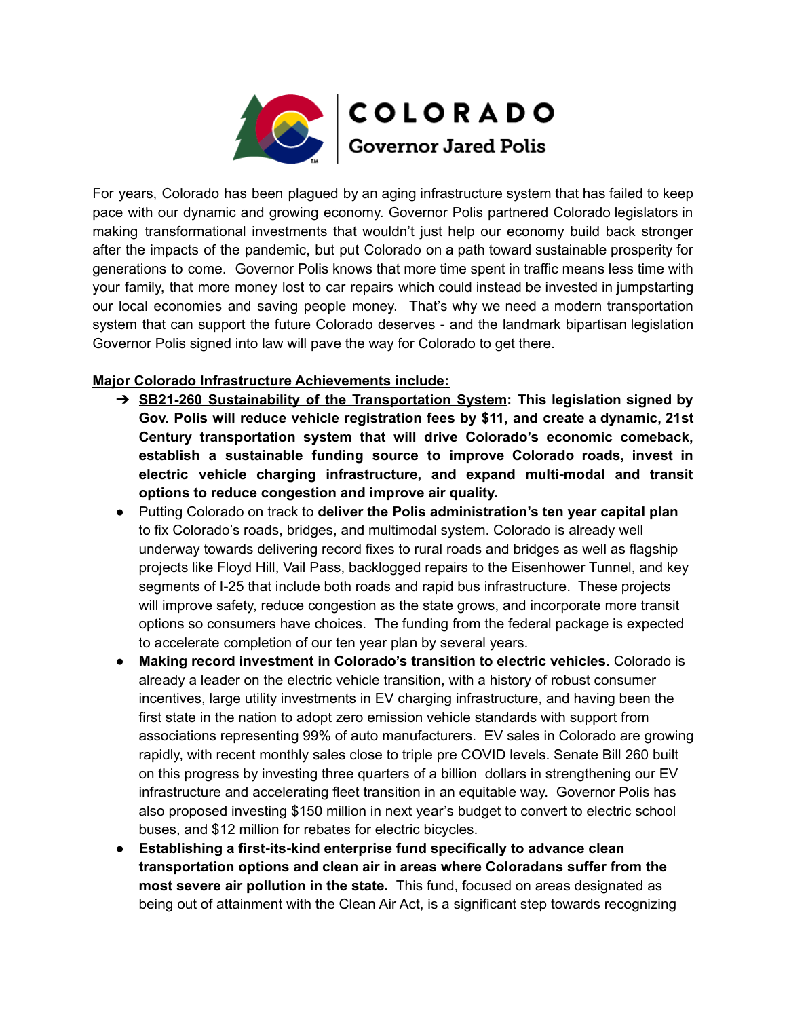

For years, Colorado has been plagued by an aging infrastructure system that has failed to keep pace with our dynamic and growing economy. Governor Polis partnered Colorado legislators in making transformational investments that wouldn't just help our economy build back stronger after the impacts of the pandemic, but put Colorado on a path toward sustainable prosperity for generations to come. Governor Polis knows that more time spent in traffic means less time with your family, that more money lost to car repairs which could instead be invested in jumpstarting our local economies and saving people money. That's why we need a modern transportation system that can support the future Colorado deserves - and the landmark bipartisan legislation Governor Polis signed into law will pave the way for Colorado to get there.

## **Major Colorado Infrastructure Achievements include:**

- ➔ **SB21-260 Sustainability of the Transportation System: This legislation signed by Gov. Polis will reduce vehicle registration fees by \$11, and create a dynamic, 21st Century transportation system that will drive Colorado's economic comeback, establish a sustainable funding source to improve Colorado roads, invest in electric vehicle charging infrastructure, and expand multi-modal and transit options to reduce congestion and improve air quality.**
- Putting Colorado on track to **deliver the Polis administration's ten year capital plan** to fix Colorado's roads, bridges, and multimodal system. Colorado is already well underway towards delivering record fixes to rural roads and bridges as well as flagship projects like Floyd Hill, Vail Pass, backlogged repairs to the Eisenhower Tunnel, and key segments of I-25 that include both roads and rapid bus infrastructure. These projects will improve safety, reduce congestion as the state grows, and incorporate more transit options so consumers have choices. The funding from the federal package is expected to accelerate completion of our ten year plan by several years.
- **● Making record investment in Colorado's transition to electric vehicles.** Colorado is already a leader on the electric vehicle transition, with a history of robust consumer incentives, large utility investments in EV charging infrastructure, and having been the first state in the nation to adopt zero emission vehicle standards with support from associations representing 99% of auto manufacturers. EV sales in Colorado are growing rapidly, with recent monthly sales close to triple pre COVID levels. Senate Bill 260 built on this progress by investing three quarters of a billion dollars in strengthening our EV infrastructure and accelerating fleet transition in an equitable way. Governor Polis has also proposed investing \$150 million in next year's budget to convert to electric school buses, and \$12 million for rebates for electric bicycles.
- **● Establishing a first-its-kind enterprise fund specifically to advance clean transportation options and clean air in areas where Coloradans suffer from the most severe air pollution in the state.** This fund, focused on areas designated as being out of attainment with the Clean Air Act, is a significant step towards recognizing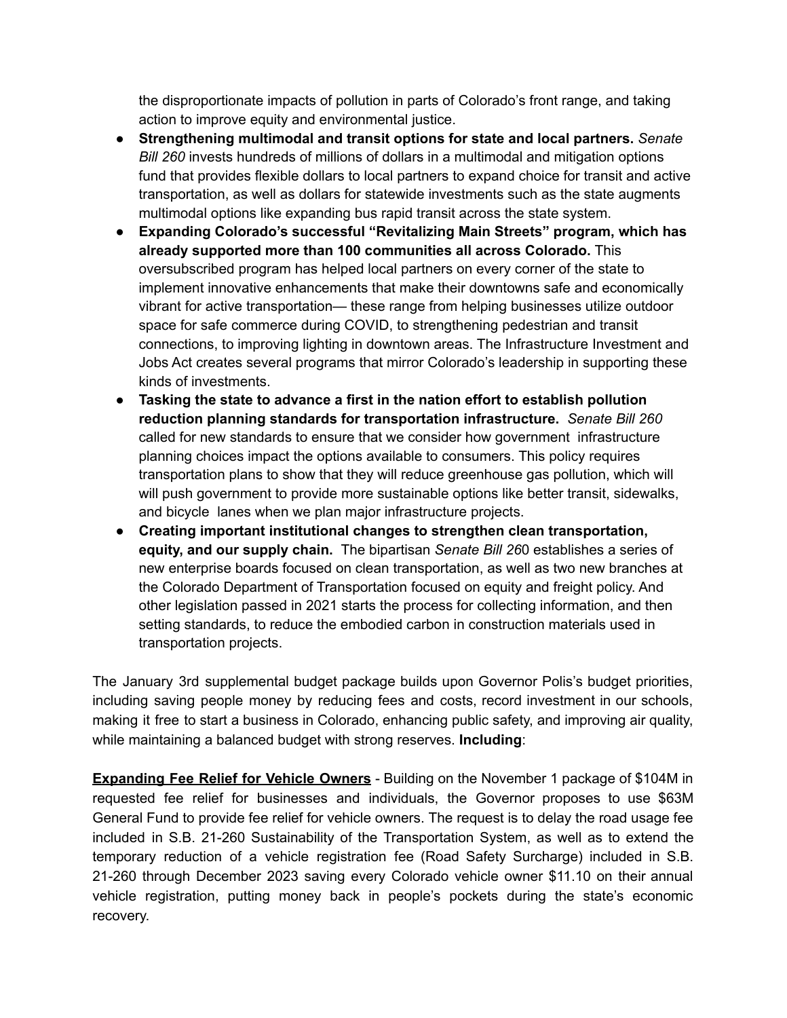the disproportionate impacts of pollution in parts of Colorado's front range, and taking action to improve equity and environmental justice.

- **● Strengthening multimodal and transit options for state and local partners.** *Senate Bill 260* invests hundreds of millions of dollars in a multimodal and mitigation options fund that provides flexible dollars to local partners to expand choice for transit and active transportation, as well as dollars for statewide investments such as the state augments multimodal options like expanding bus rapid transit across the state system.
- **● Expanding Colorado's successful "Revitalizing Main Streets" program, which has already supported more than 100 communities all across Colorado.** This oversubscribed program has helped local partners on every corner of the state to implement innovative enhancements that make their downtowns safe and economically vibrant for active transportation— these range from helping businesses utilize outdoor space for safe commerce during COVID, to strengthening pedestrian and transit connections, to improving lighting in downtown areas. The Infrastructure Investment and Jobs Act creates several programs that mirror Colorado's leadership in supporting these kinds of investments.
- **● Tasking the state to advance a first in the nation effort to establish pollution reduction planning standards for transportation infrastructure.** *Senate Bill 260* called for new standards to ensure that we consider how government infrastructure planning choices impact the options available to consumers. This policy requires transportation plans to show that they will reduce greenhouse gas pollution, which will will push government to provide more sustainable options like better transit, sidewalks, and bicycle lanes when we plan major infrastructure projects.
- **● Creating important institutional changes to strengthen clean transportation, equity, and our supply chain.** The bipartisan *Senate Bill 26*0 establishes a series of new enterprise boards focused on clean transportation, as well as two new branches at the Colorado Department of Transportation focused on equity and freight policy. And other legislation passed in 2021 starts the process for collecting information, and then setting standards, to reduce the embodied carbon in construction materials used in transportation projects.

The January 3rd supplemental budget package builds upon Governor Polis's budget priorities, including saving people money by reducing fees and costs, record investment in our schools, making it free to start a business in Colorado, enhancing public safety, and improving air quality, while maintaining a balanced budget with strong reserves. **Including**:

**Expanding Fee Relief for Vehicle Owners** - Building on the November 1 package of \$104M in requested fee relief for businesses and individuals, the Governor proposes to use \$63M General Fund to provide fee relief for vehicle owners. The request is to delay the road usage fee included in S.B. 21-260 Sustainability of the Transportation System, as well as to extend the temporary reduction of a vehicle registration fee (Road Safety Surcharge) included in S.B. 21-260 through December 2023 saving every Colorado vehicle owner \$11.10 on their annual vehicle registration, putting money back in people's pockets during the state's economic recovery.